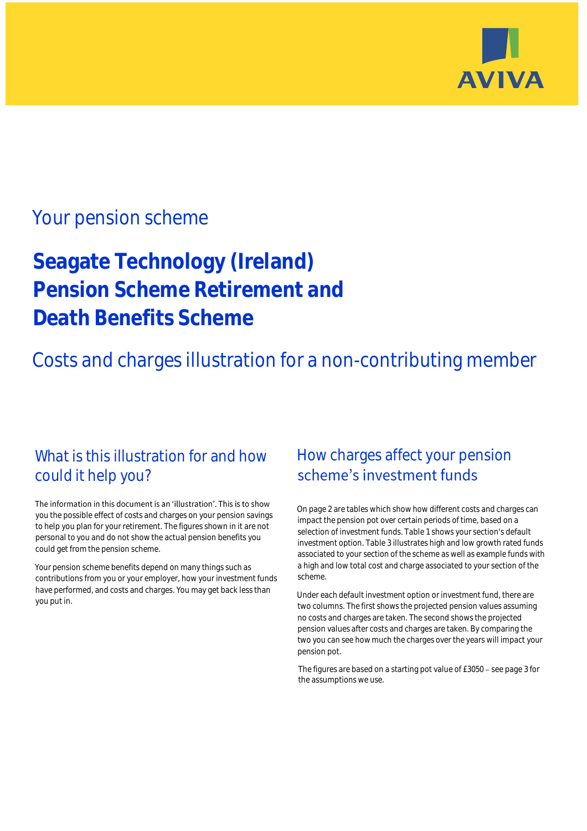

## Your pension scheme

# **Seagate Technology (Ireland) Pension Scheme Retirement and Death Benefits Scheme**

Costs and charges illustration for a non-contributing member

### What is this illustration for and how could it help you?

#### The information in this document is an 'illustration'. This is to show you the possible effect of costs and charges on your pension savings to help you plan for your retirement. The figures shown in it are not personal to you and do not show the actual pension benefits you could get from the pension scheme.

Your pension scheme benefits depend on many things such as contributions from you or your employer, how your investment funds have performed, and costs and charges. You may get back less than you put in.

### How charges affect your pension scheme's investment funds

On page 2 are tables which show how different costs and charges can impact the pension pot over certain periods of time, based on a selection of investment funds. Table 1 shows your section's default investment option. Table 3 illustrates high and low growth rated funds associated to your section of the scheme as well as example funds with a high and low total cost and charge associated to your section of the scheme.

Under each default investment option or investment fund, there are two columns. The first shows the projected pension values assuming no costs and charges are taken. The second shows the projected pension values after costs and charges are taken. By comparing the two you can see how much the charges over the years will impact your pension pot.

The figures are based on a starting pot value of  $£3050 -$  see page 3 for the assumptions we use.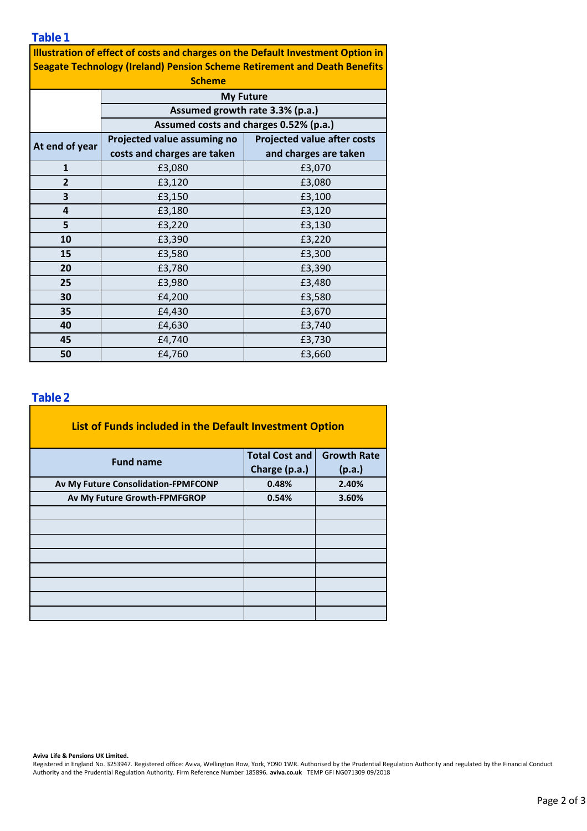**Table 1**

**Illustration of effect of costs and charges on the Default Investment Option in Seagate Technology (Ireland) Pension Scheme Retirement and Death Benefits** 

| <b>Scheme</b>  |                                                                           |                                    |  |  |  |  |  |
|----------------|---------------------------------------------------------------------------|------------------------------------|--|--|--|--|--|
|                | <b>My Future</b>                                                          |                                    |  |  |  |  |  |
|                | Assumed growth rate 3.3% (p.a.)<br>Assumed costs and charges 0.52% (p.a.) |                                    |  |  |  |  |  |
|                |                                                                           |                                    |  |  |  |  |  |
| At end of year | Projected value assuming no                                               | <b>Projected value after costs</b> |  |  |  |  |  |
|                | costs and charges are taken                                               | and charges are taken              |  |  |  |  |  |
| $\mathbf{1}$   | £3,080                                                                    | £3,070                             |  |  |  |  |  |
| $\overline{2}$ | £3,120                                                                    | £3,080                             |  |  |  |  |  |
| 3              | £3,150                                                                    | £3,100                             |  |  |  |  |  |
| 4              | £3,180                                                                    | £3,120                             |  |  |  |  |  |
| 5              | £3,220                                                                    | £3,130                             |  |  |  |  |  |
| 10             | £3,390                                                                    | £3,220                             |  |  |  |  |  |
| 15             | £3,580                                                                    | £3,300                             |  |  |  |  |  |
| 20             | £3,780                                                                    | £3,390                             |  |  |  |  |  |
| 25             | £3,980                                                                    | £3,480                             |  |  |  |  |  |
| 30             | £4,200                                                                    | £3,580                             |  |  |  |  |  |
| 35             | £4,430                                                                    | £3,670                             |  |  |  |  |  |
| 40             | £4,630                                                                    | £3,740                             |  |  |  |  |  |
| 45             | £4,740                                                                    | £3,730                             |  |  |  |  |  |
| 50             | £4,760                                                                    | £3,660                             |  |  |  |  |  |

### **Table 2**

| List of Funds included in the Default Investment Option |                       |                    |  |  |  |  |  |  |
|---------------------------------------------------------|-----------------------|--------------------|--|--|--|--|--|--|
| <b>Fund name</b>                                        | <b>Total Cost and</b> | <b>Growth Rate</b> |  |  |  |  |  |  |
|                                                         | Charge (p.a.)         | (p.a.)             |  |  |  |  |  |  |
| Av My Future Consolidation-FPMFCONP                     | 0.48%                 | 2.40%              |  |  |  |  |  |  |
| Av My Future Growth-FPMFGROP                            | 0.54%                 | 3.60%              |  |  |  |  |  |  |
|                                                         |                       |                    |  |  |  |  |  |  |
|                                                         |                       |                    |  |  |  |  |  |  |
|                                                         |                       |                    |  |  |  |  |  |  |
|                                                         |                       |                    |  |  |  |  |  |  |
|                                                         |                       |                    |  |  |  |  |  |  |
|                                                         |                       |                    |  |  |  |  |  |  |
|                                                         |                       |                    |  |  |  |  |  |  |
|                                                         |                       |                    |  |  |  |  |  |  |

**Aviva Life & Pensions UK Limited.**

Registered in England No. 3253947. Registered office: Aviva, Wellington Row, York, YO90 1WR. Authorised by the Prudential Regulation Authority and regulated by the Financial Conduct Authority and the Prudential Regulation Authority. Firm Reference Number 185896. **aviva.co.uk** TEMP GFI NG071309 09/2018